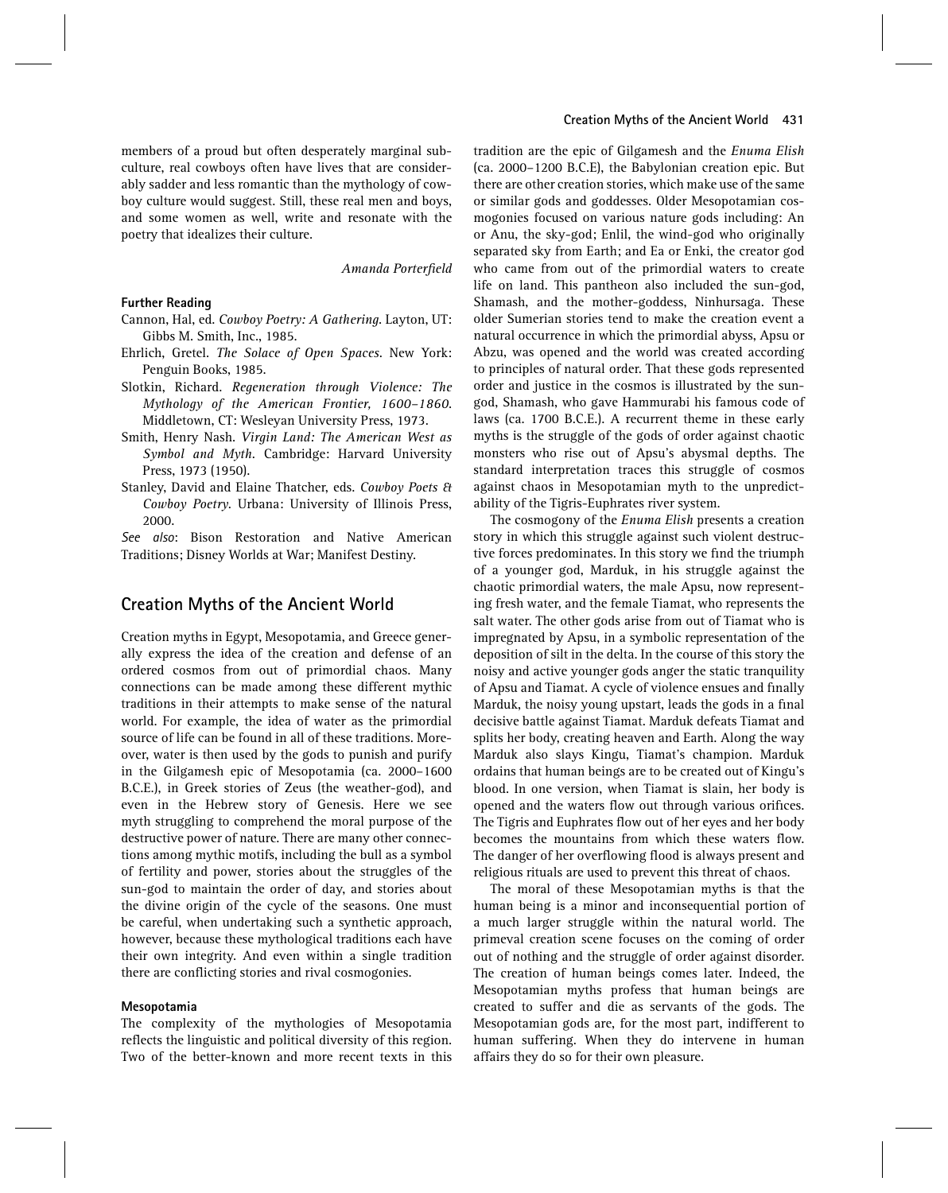members of a proud but often desperately marginal subculture, real cowboys often have lives that are considerably sadder and less romantic than the mythology of cowboy culture would suggest. Still, these real men and boys, and some women as well, write and resonate with the poetry that idealizes their culture.

*Amanda Porterfield*

# **Further Reading**

- Cannon, Hal, ed. *Cowboy Poetry: A Gathering*. Layton, UT: Gibbs M. Smith, Inc., 1985.
- Ehrlich, Gretel. *The Solace of Open Spaces*. New York: Penguin Books, 1985.
- Slotkin, Richard. *Regeneration through Violence: The Mythology of the American Frontier, 1600–1860*. Middletown, CT: Wesleyan University Press, 1973.
- Smith, Henry Nash. *Virgin Land: The American West as Symbol and Myth*. Cambridge: Harvard University Press, 1973 (1950).
- Stanley, David and Elaine Thatcher, eds. *Cowboy Poets & Cowboy Poetry*. Urbana: University of Illinois Press, 2000.

*See also*: Bison Restoration and Native American Traditions; Disney Worlds at War; Manifest Destiny.

# **Creation Myths of the Ancient World**

Creation myths in Egypt, Mesopotamia, and Greece generally express the idea of the creation and defense of an ordered cosmos from out of primordial chaos. Many connections can be made among these different mythic traditions in their attempts to make sense of the natural world. For example, the idea of water as the primordial source of life can be found in all of these traditions. Moreover, water is then used by the gods to punish and purify in the Gilgamesh epic of Mesopotamia (ca. 2000–1600 B.C.E.), in Greek stories of Zeus (the weather-god), and even in the Hebrew story of Genesis. Here we see myth struggling to comprehend the moral purpose of the destructive power of nature. There are many other connections among mythic motifs, including the bull as a symbol of fertility and power, stories about the struggles of the sun-god to maintain the order of day, and stories about the divine origin of the cycle of the seasons. One must be careful, when undertaking such a synthetic approach, however, because these mythological traditions each have their own integrity. And even within a single tradition there are conflicting stories and rival cosmogonies.

#### **Mesopotamia**

The complexity of the mythologies of Mesopotamia reflects the linguistic and political diversity of this region. Two of the better-known and more recent texts in this

# **Creation Myths of the Ancient World 431**

tradition are the epic of Gilgamesh and the *Enuma Elish* (ca. 2000–1200 B.C.E), the Babylonian creation epic. But there are other creation stories, which make use of the same or similar gods and goddesses. Older Mesopotamian cosmogonies focused on various nature gods including: An or Anu, the sky-god; Enlil, the wind-god who originally separated sky from Earth; and Ea or Enki, the creator god who came from out of the primordial waters to create life on land. This pantheon also included the sun-god, Shamash, and the mother-goddess, Ninhursaga. These older Sumerian stories tend to make the creation event a natural occurrence in which the primordial abyss, Apsu or Abzu, was opened and the world was created according to principles of natural order. That these gods represented order and justice in the cosmos is illustrated by the sungod, Shamash, who gave Hammurabi his famous code of laws (ca. 1700 B.C.E.). A recurrent theme in these early myths is the struggle of the gods of order against chaotic monsters who rise out of Apsu's abysmal depths. The standard interpretation traces this struggle of cosmos against chaos in Mesopotamian myth to the unpredictability of the Tigris-Euphrates river system.

The cosmogony of the *Enuma Elish* presents a creation story in which this struggle against such violent destructive forces predominates. In this story we find the triumph of a younger god, Marduk, in his struggle against the chaotic primordial waters, the male Apsu, now representing fresh water, and the female Tiamat, who represents the salt water. The other gods arise from out of Tiamat who is impregnated by Apsu, in a symbolic representation of the deposition of silt in the delta. In the course of this story the noisy and active younger gods anger the static tranquility of Apsu and Tiamat. A cycle of violence ensues and finally Marduk, the noisy young upstart, leads the gods in a final decisive battle against Tiamat. Marduk defeats Tiamat and splits her body, creating heaven and Earth. Along the way Marduk also slays Kingu, Tiamat's champion. Marduk ordains that human beings are to be created out of Kingu's blood. In one version, when Tiamat is slain, her body is opened and the waters flow out through various orifices. The Tigris and Euphrates flow out of her eyes and her body becomes the mountains from which these waters flow. The danger of her overflowing flood is always present and religious rituals are used to prevent this threat of chaos.

The moral of these Mesopotamian myths is that the human being is a minor and inconsequential portion of a much larger struggle within the natural world. The primeval creation scene focuses on the coming of order out of nothing and the struggle of order against disorder. The creation of human beings comes later. Indeed, the Mesopotamian myths profess that human beings are created to suffer and die as servants of the gods. The Mesopotamian gods are, for the most part, indifferent to human suffering. When they do intervene in human affairs they do so for their own pleasure.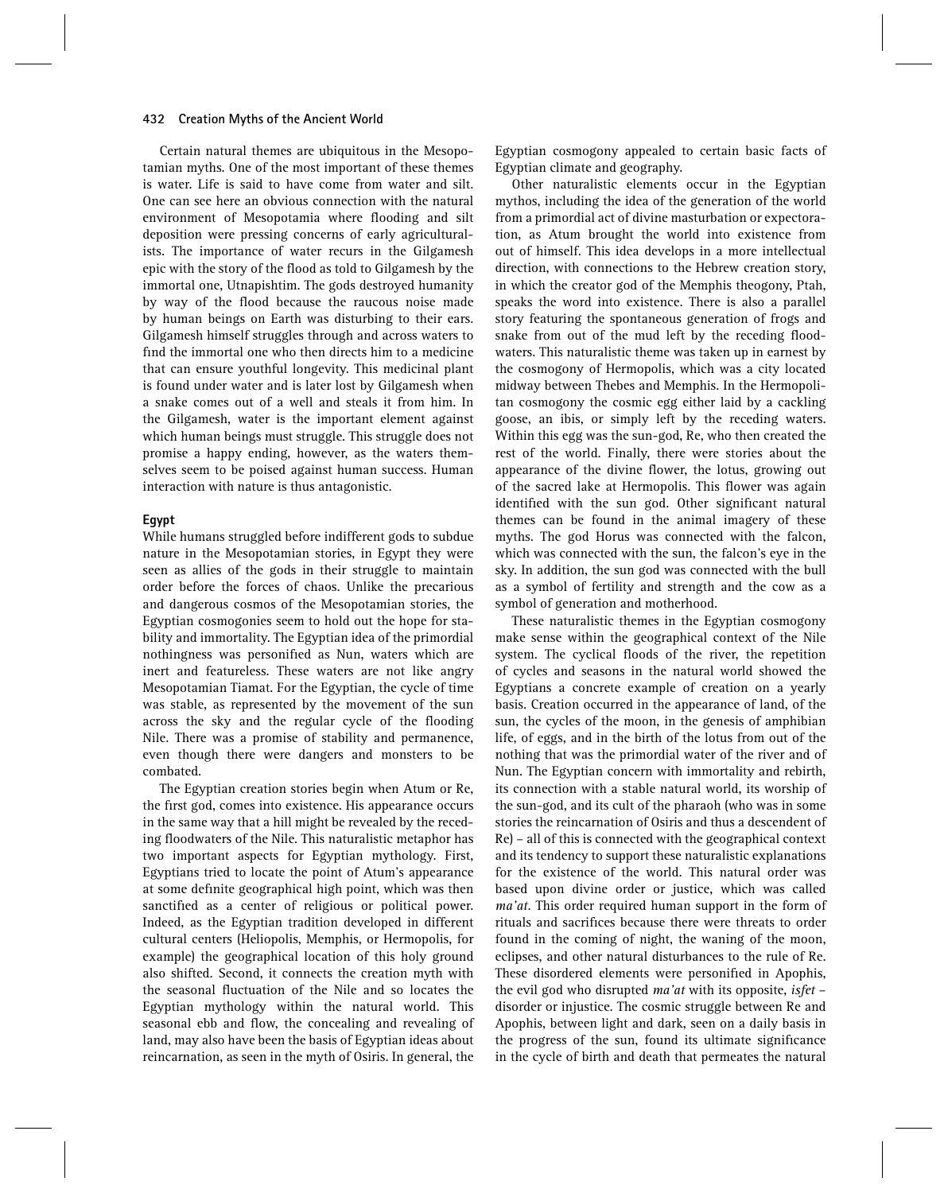#### **432 Creation Myths of the Ancient World**

Certain natural themes are ubiquitous in the Mesopotamian myths. One of the most important of these themes is water. Life is said to have come from water and silt. One can see here an obvious connection with the natural environment of Mesopotamia where flooding and silt deposition were pressing concerns of early agriculturalists. The importance of water recurs in the Gilgamesh epic with the story of the flood as told to Gilgamesh by the immortal one, Utnapishtim. The gods destroyed humanity by way of the flood because the raucous noise made by human beings on Earth was disturbing to their ears. Gilgamesh himself struggles through and across waters to find the immortal one who then directs him to a medicine that can ensure youthful longevity. This medicinal plant is found under water and is later lost by Gilgamesh when a snake comes out of a well and steals it from him. In the Gilgamesh, water is the important element against which human beings must struggle. This struggle does not promise a happy ending, however, as the waters themselves seem to be poised against human success. Human interaction with nature is thus antagonistic.

#### **Egypt**

While humans struggled before indifferent gods to subdue nature in the Mesopotamian stories, in Egypt they were seen as allies of the gods in their struggle to maintain order before the forces of chaos. Unlike the precarious and dangerous cosmos of the Mesopotamian stories, the Egyptian cosmogonies seem to hold out the hope for stability and immortality. The Egyptian idea of the primordial nothingness was personified as Nun, waters which are inert and featureless. These waters are not like angry Mesopotamian Tiamat. For the Egyptian, the cycle of time was stable, as represented by the movement of the sun across the sky and the regular cycle of the flooding Nile. There was a promise of stability and permanence, even though there were dangers and monsters to be combated.

The Egyptian creation stories begin when Atum or Re, the first god, comes into existence. His appearance occurs in the same way that a hill might be revealed by the receding floodwaters of the Nile. This naturalistic metaphor has two important aspects for Egyptian mythology. First, Egyptians tried to locate the point of Atum's appearance at some definite geographical high point, which was then sanctified as a center of religious or political power. Indeed, as the Egyptian tradition developed in different cultural centers (Heliopolis, Memphis, or Hermopolis, for example) the geographical location of this holy ground also shifted. Second, it connects the creation myth with the seasonal fluctuation of the Nile and so locates the Egyptian mythology within the natural world. This seasonal ebb and flow, the concealing and revealing of land, may also have been the basis of Egyptian ideas about reincarnation, as seen in the myth of Osiris. In general, the

Egyptian cosmogony appealed to certain basic facts of Egyptian climate and geography.

Other naturalistic elements occur in the Egyptian mythos, including the idea of the generation of the world from a primordial act of divine masturbation or expectoration, as Atum brought the world into existence from out of himself. This idea develops in a more intellectual direction, with connections to the Hebrew creation story, in which the creator god of the Memphis theogony, Ptah, speaks the word into existence. There is also a parallel story featuring the spontaneous generation of frogs and snake from out of the mud left by the receding floodwaters. This naturalistic theme was taken up in earnest by the cosmogony of Hermopolis, which was a city located midway between Thebes and Memphis. In the Hermopolitan cosmogony the cosmic egg either laid by a cackling goose, an ibis, or simply left by the receding waters. Within this egg was the sun-god, Re, who then created the rest of the world. Finally, there were stories about the appearance of the divine flower, the lotus, growing out of the sacred lake at Hermopolis. This flower was again identified with the sun god. Other significant natural themes can be found in the animal imagery of these myths. The god Horus was connected with the falcon, which was connected with the sun, the falcon's eye in the sky. In addition, the sun god was connected with the bull as a symbol of fertility and strength and the cow as a symbol of generation and motherhood.

These naturalistic themes in the Egyptian cosmogony make sense within the geographical context of the Nile system. The cyclical floods of the river, the repetition of cycles and seasons in the natural world showed the Egyptians a concrete example of creation on a yearly basis. Creation occurred in the appearance of land, of the sun, the cycles of the moon, in the genesis of amphibian life, of eggs, and in the birth of the lotus from out of the nothing that was the primordial water of the river and of Nun. The Egyptian concern with immortality and rebirth, its connection with a stable natural world, its worship of the sun-god, and its cult of the pharaoh (who was in some stories the reincarnation of Osiris and thus a descendent of Re) – all of this is connected with the geographical context and its tendency to support these naturalistic explanations for the existence of the world. This natural order was based upon divine order or justice, which was called *ma'at*. This order required human support in the form of rituals and sacrifices because there were threats to order found in the coming of night, the waning of the moon, eclipses, and other natural disturbances to the rule of Re. These disordered elements were personified in Apophis, the evil god who disrupted *ma'at* with its opposite, *isfet* – disorder or injustice. The cosmic struggle between Re and Apophis, between light and dark, seen on a daily basis in the progress of the sun, found its ultimate significance in the cycle of birth and death that permeates the natural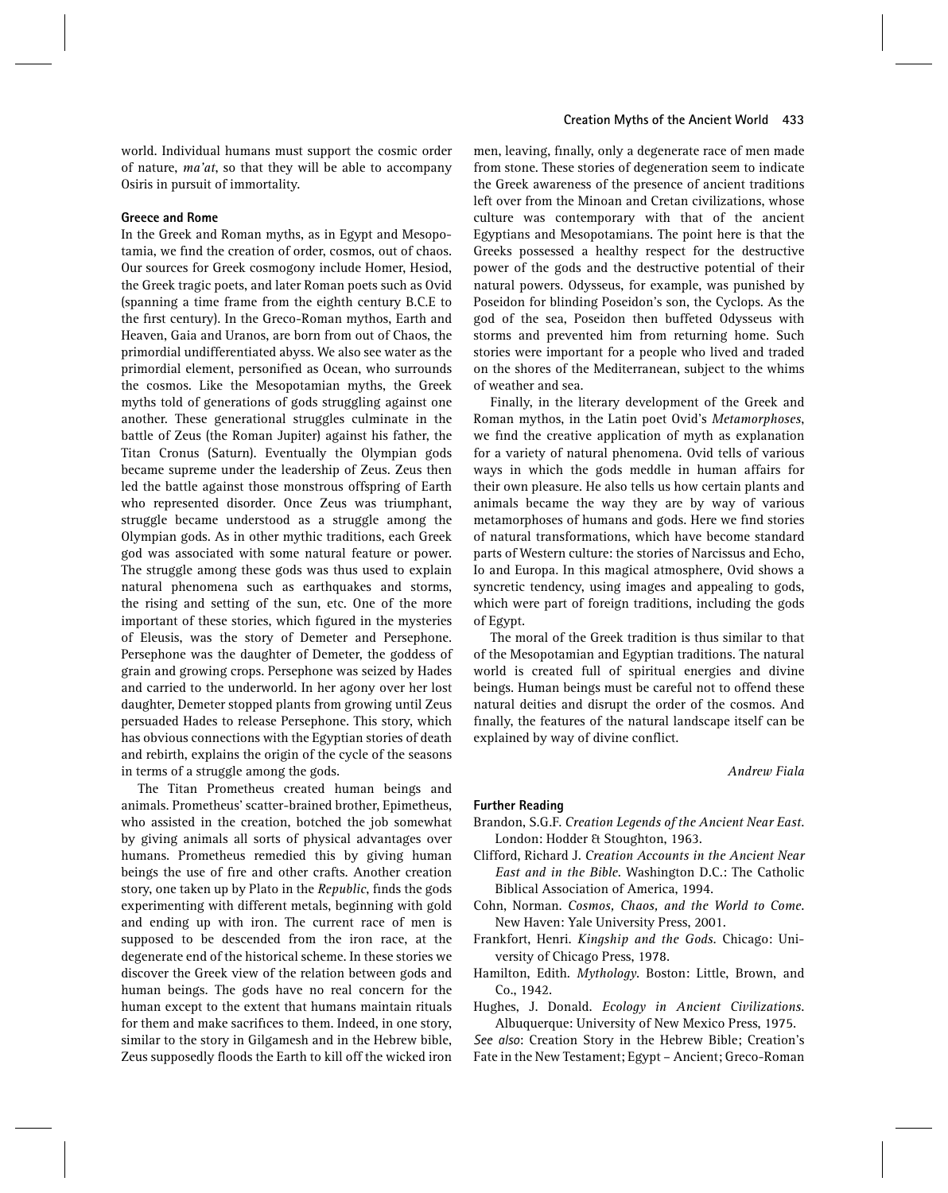world. Individual humans must support the cosmic order of nature, *ma'at*, so that they will be able to accompany Osiris in pursuit of immortality.

#### **Greece and Rome**

In the Greek and Roman myths, as in Egypt and Mesopotamia, we find the creation of order, cosmos, out of chaos. Our sources for Greek cosmogony include Homer, Hesiod, the Greek tragic poets, and later Roman poets such as Ovid (spanning a time frame from the eighth century B.C.E to the first century). In the Greco-Roman mythos, Earth and Heaven, Gaia and Uranos, are born from out of Chaos, the primordial undifferentiated abyss. We also see water as the primordial element, personified as Ocean, who surrounds the cosmos. Like the Mesopotamian myths, the Greek myths told of generations of gods struggling against one another. These generational struggles culminate in the battle of Zeus (the Roman Jupiter) against his father, the Titan Cronus (Saturn). Eventually the Olympian gods became supreme under the leadership of Zeus. Zeus then led the battle against those monstrous offspring of Earth who represented disorder. Once Zeus was triumphant, struggle became understood as a struggle among the Olympian gods. As in other mythic traditions, each Greek god was associated with some natural feature or power. The struggle among these gods was thus used to explain natural phenomena such as earthquakes and storms, the rising and setting of the sun, etc. One of the more important of these stories, which figured in the mysteries of Eleusis, was the story of Demeter and Persephone. Persephone was the daughter of Demeter, the goddess of grain and growing crops. Persephone was seized by Hades and carried to the underworld. In her agony over her lost daughter, Demeter stopped plants from growing until Zeus persuaded Hades to release Persephone. This story, which has obvious connections with the Egyptian stories of death and rebirth, explains the origin of the cycle of the seasons in terms of a struggle among the gods.

The Titan Prometheus created human beings and animals. Prometheus' scatter-brained brother, Epimetheus, who assisted in the creation, botched the job somewhat by giving animals all sorts of physical advantages over humans. Prometheus remedied this by giving human beings the use of fire and other crafts. Another creation story, one taken up by Plato in the *Republic*, finds the gods experimenting with different metals, beginning with gold and ending up with iron. The current race of men is supposed to be descended from the iron race, at the degenerate end of the historical scheme. In these stories we discover the Greek view of the relation between gods and human beings. The gods have no real concern for the human except to the extent that humans maintain rituals for them and make sacrifices to them. Indeed, in one story, similar to the story in Gilgamesh and in the Hebrew bible, Zeus supposedly floods the Earth to kill off the wicked iron

men, leaving, finally, only a degenerate race of men made from stone. These stories of degeneration seem to indicate the Greek awareness of the presence of ancient traditions left over from the Minoan and Cretan civilizations, whose culture was contemporary with that of the ancient Egyptians and Mesopotamians. The point here is that the Greeks possessed a healthy respect for the destructive power of the gods and the destructive potential of their natural powers. Odysseus, for example, was punished by Poseidon for blinding Poseidon's son, the Cyclops. As the god of the sea, Poseidon then buffeted Odysseus with storms and prevented him from returning home. Such stories were important for a people who lived and traded on the shores of the Mediterranean, subject to the whims of weather and sea.

Finally, in the literary development of the Greek and Roman mythos, in the Latin poet Ovid's *Metamorphoses*, we find the creative application of myth as explanation for a variety of natural phenomena. Ovid tells of various ways in which the gods meddle in human affairs for their own pleasure. He also tells us how certain plants and animals became the way they are by way of various metamorphoses of humans and gods. Here we find stories of natural transformations, which have become standard parts of Western culture: the stories of Narcissus and Echo, Io and Europa. In this magical atmosphere, Ovid shows a syncretic tendency, using images and appealing to gods, which were part of foreign traditions, including the gods of Egypt.

The moral of the Greek tradition is thus similar to that of the Mesopotamian and Egyptian traditions. The natural world is created full of spiritual energies and divine beings. Human beings must be careful not to offend these natural deities and disrupt the order of the cosmos. And finally, the features of the natural landscape itself can be explained by way of divine conflict.

*Andrew Fiala*

## **Further Reading**

- Brandon, S.G.F. *Creation Legends of the Ancient Near East*. London: Hodder & Stoughton, 1963.
- Clifford, Richard J. *Creation Accounts in the Ancient Near East and in the Bible*. Washington D.C.: The Catholic Biblical Association of America, 1994.
- Cohn, Norman. *Cosmos, Chaos, and the World to Come*. New Haven: Yale University Press, 2001.
- Frankfort, Henri. *Kingship and the Gods*. Chicago: University of Chicago Press, 1978.
- Hamilton, Edith. *Mythology*. Boston: Little, Brown, and Co., 1942.
- Hughes, J. Donald. *Ecology in Ancient Civilizations*. Albuquerque: University of New Mexico Press, 1975.
- *See also*: Creation Story in the Hebrew Bible; Creation's Fate in the New Testament; Egypt – Ancient; Greco-Roman